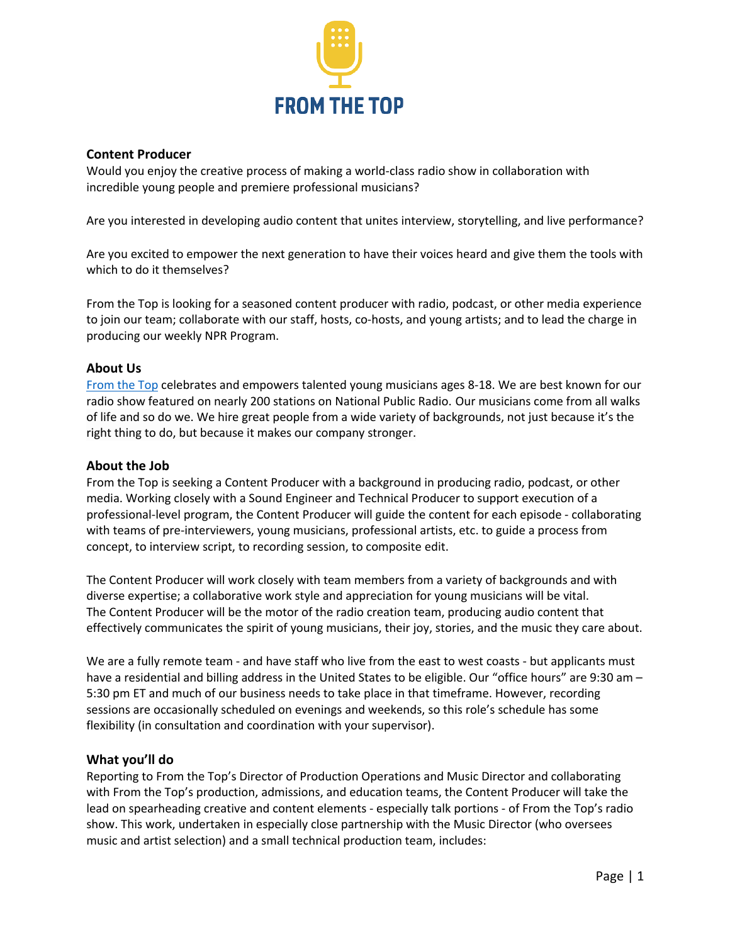

# **Content Producer**

Would you enjoy the creative process of making a world-class radio show in collaboration with incredible young people and premiere professional musicians?

Are you interested in developing audio content that unites interview, storytelling, and live performance?

Are you excited to empower the next generation to have their voices heard and give them the tools with which to do it themselves?

From the Top is looking for a seasoned content producer with radio, podcast, or other media experience to join our team; collaborate with our staff, hosts, co-hosts, and young artists; and to lead the charge in producing our weekly NPR Program.

## **About Us**

From the Top celebrates and empowers talented young musicians ages 8-18. We are best known for our radio show featured on nearly 200 stations on National Public Radio. Our musicians come from all walks of life and so do we. We hire great people from a wide variety of backgrounds, not just because it's the right thing to do, but because it makes our company stronger.

## **About the Job**

From the Top is seeking a Content Producer with a background in producing radio, podcast, or other media. Working closely with a Sound Engineer and Technical Producer to support execution of a professional-level program, the Content Producer will guide the content for each episode - collaborating with teams of pre-interviewers, young musicians, professional artists, etc. to guide a process from concept, to interview script, to recording session, to composite edit.

The Content Producer will work closely with team members from a variety of backgrounds and with diverse expertise; a collaborative work style and appreciation for young musicians will be vital. The Content Producer will be the motor of the radio creation team, producing audio content that effectively communicates the spirit of young musicians, their joy, stories, and the music they care about.

We are a fully remote team - and have staff who live from the east to west coasts - but applicants must have a residential and billing address in the United States to be eligible. Our "office hours" are 9:30 am – 5:30 pm ET and much of our business needs to take place in that timeframe. However, recording sessions are occasionally scheduled on evenings and weekends, so this role's schedule has some flexibility (in consultation and coordination with your supervisor).

# **What you'll do**

Reporting to From the Top's Director of Production Operations and Music Director and collaborating with From the Top's production, admissions, and education teams, the Content Producer will take the lead on spearheading creative and content elements - especially talk portions - of From the Top's radio show. This work, undertaken in especially close partnership with the Music Director (who oversees music and artist selection) and a small technical production team, includes: